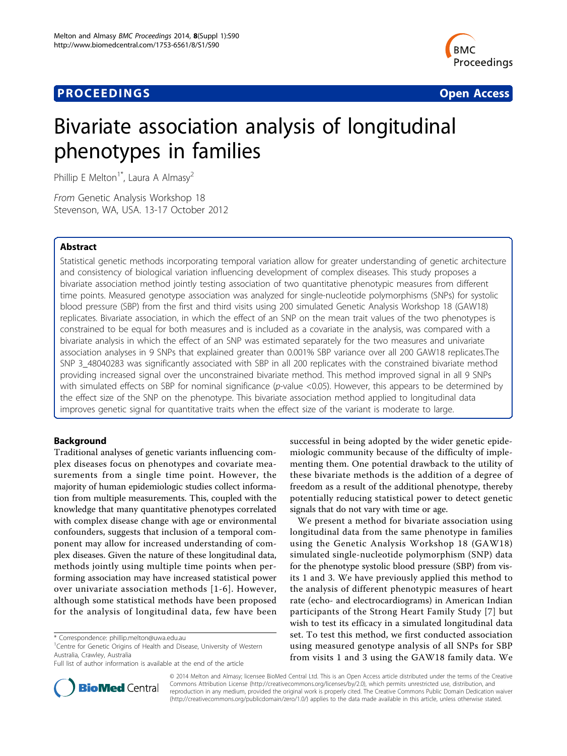## **PROCEEDINGS STATE SERVICE SERVICE SERVICE SERVICE SERVICE SERVICE SERVICE SERVICE SERVICE SERVICE SERVICE SERVICE SERVICE SERVICE SERVICE SERVICE SERVICE SERVICE SERVICE SERVICE SERVICE SERVICE SERVICE SERVICE SERVICE S**



# Bivariate association analysis of longitudinal phenotypes in families

Phillip E Melton<sup>1\*</sup>, Laura A Almasy<sup>2</sup>

From Genetic Analysis Workshop 18 Stevenson, WA, USA. 13-17 October 2012

#### Abstract

Statistical genetic methods incorporating temporal variation allow for greater understanding of genetic architecture and consistency of biological variation influencing development of complex diseases. This study proposes a bivariate association method jointly testing association of two quantitative phenotypic measures from different time points. Measured genotype association was analyzed for single-nucleotide polymorphisms (SNPs) for systolic blood pressure (SBP) from the first and third visits using 200 simulated Genetic Analysis Workshop 18 (GAW18) replicates. Bivariate association, in which the effect of an SNP on the mean trait values of the two phenotypes is constrained to be equal for both measures and is included as a covariate in the analysis, was compared with a bivariate analysis in which the effect of an SNP was estimated separately for the two measures and univariate association analyses in 9 SNPs that explained greater than 0.001% SBP variance over all 200 GAW18 replicates.The SNP 3\_48040283 was significantly associated with SBP in all 200 replicates with the constrained bivariate method providing increased signal over the unconstrained bivariate method. This method improved signal in all 9 SNPs with simulated effects on SBP for nominal significance (p-value <0.05). However, this appears to be determined by the effect size of the SNP on the phenotype. This bivariate association method applied to longitudinal data improves genetic signal for quantitative traits when the effect size of the variant is moderate to large.

### Background

Traditional analyses of genetic variants influencing complex diseases focus on phenotypes and covariate measurements from a single time point. However, the majority of human epidemiologic studies collect information from multiple measurements. This, coupled with the knowledge that many quantitative phenotypes correlated with complex disease change with age or environmental confounders, suggests that inclusion of a temporal component may allow for increased understanding of complex diseases. Given the nature of these longitudinal data, methods jointly using multiple time points when performing association may have increased statistical power over univariate association methods [[1](#page-3-0)-[6\]](#page-3-0). However, although some statistical methods have been proposed for the analysis of longitudinal data, few have been

successful in being adopted by the wider genetic epidemiologic community because of the difficulty of implementing them. One potential drawback to the utility of these bivariate methods is the addition of a degree of freedom as a result of the additional phenotype, thereby potentially reducing statistical power to detect genetic signals that do not vary with time or age.

We present a method for bivariate association using longitudinal data from the same phenotype in families using the Genetic Analysis Workshop 18 (GAW18) simulated single-nucleotide polymorphism (SNP) data for the phenotype systolic blood pressure (SBP) from visits 1 and 3. We have previously applied this method to the analysis of different phenotypic measures of heart rate (echo- and electrocardiograms) in American Indian participants of the Strong Heart Family Study [\[7\]](#page-3-0) but wish to test its efficacy in a simulated longitudinal data set. To test this method, we first conducted association using measured genotype analysis of all SNPs for SBP from visits 1 and 3 using the GAW18 family data. We



© 2014 Melton and Almasy; licensee BioMed Central Ltd. This is an Open Access article distributed under the terms of the Creative Commons Attribution License [\(http://creativecommons.org/licenses/by/2.0](http://creativecommons.org/licenses/by/2.0)), which permits unrestricted use, distribution, and reproduction in any medium, provided the original work is properly cited. The Creative Commons Public Domain Dedication waiver [\(http://creativecommons.org/publicdomain/zero/1.0/](http://creativecommons.org/publicdomain/zero/1.0/)) applies to the data made available in this article, unless otherwise stated.

<sup>\*</sup> Correspondence: [phillip.melton@uwa.edu.au](mailto:phillip.melton@uwa.edu.au)

<sup>&</sup>lt;sup>1</sup> Centre for Genetic Origins of Health and Disease, University of Western Australia, Crawley, Australia

Full list of author information is available at the end of the article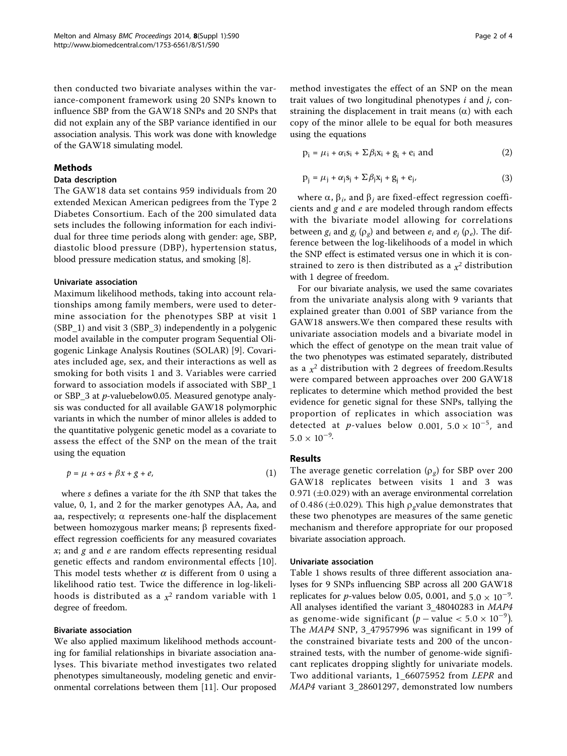Page 2 of 4

then conducted two bivariate analyses within the variance-component framework using 20 SNPs known to influence SBP from the GAW18 SNPs and 20 SNPs that did not explain any of the SBP variance identified in our association analysis. This work was done with knowledge of the GAW18 simulating model.

#### Methods

#### Data description

The GAW18 data set contains 959 individuals from 20 extended Mexican American pedigrees from the Type 2 Diabetes Consortium. Each of the 200 simulated data sets includes the following information for each individual for three time periods along with gender: age, SBP, diastolic blood pressure (DBP), hypertension status, blood pressure medication status, and smoking [\[8](#page-3-0)].

#### Univariate association

Maximum likelihood methods, taking into account relationships among family members, were used to determine association for the phenotypes SBP at visit 1 (SBP\_1) and visit 3 (SBP\_3) independently in a polygenic model available in the computer program Sequential Oligogenic Linkage Analysis Routines (SOLAR) [[9](#page-3-0)]. Covariates included age, sex, and their interactions as well as smoking for both visits 1 and 3. Variables were carried forward to association models if associated with SBP\_1 or SBP\_3 at p-valuebelow0.05. Measured genotype analysis was conducted for all available GAW18 polymorphic variants in which the number of minor alleles is added to the quantitative polygenic genetic model as a covariate to assess the effect of the SNP on the mean of the trait using the equation

$$
p = \mu + \alpha s + \beta x + g + e,\tag{1}
$$

where s defines a variate for the ith SNP that takes the value, 0, 1, and 2 for the marker genotypes AA, Aa, and aa, respectively;  $\alpha$  represents one-half the displacement between homozygous marker means;  $\beta$  represents fixedeffect regression coefficients for any measured covariates  $x$ ; and  $g$  and  $e$  are random effects representing residual genetic effects and random environmental effects [[10](#page-3-0)]. This model tests whether  $\alpha$  is different from 0 using a likelihood ratio test. Twice the difference in log-likelihoods is distributed as a  $x^2$  random variable with 1 degree of freedom.

#### Bivariate association

We also applied maximum likelihood methods accounting for familial relationships in bivariate association analyses. This bivariate method investigates two related phenotypes simultaneously, modeling genetic and environmental correlations between them [[11](#page-3-0)]. Our proposed method investigates the effect of an SNP on the mean trait values of two longitudinal phenotypes  $i$  and  $j$ , constraining the displacement in trait means  $(\alpha)$  with each copy of the minor allele to be equal for both measures using the equations

$$
p_i = \mu_i + \alpha_i s_i + \Sigma \beta_i x_i + g_i + e_i \text{ and } \qquad (2)
$$

$$
p_j = \mu_j + \alpha_j s_j + \Sigma \beta_j x_j + g_j + e_j,
$$
\n(3)

where  $\alpha$ ,  $\beta_i$ , and  $\beta_i$  are fixed-effect regression coefficients and  $g$  and  $e$  are modeled through random effects with the bivariate model allowing for correlations between  $g_i$  and  $g_i$  ( $\rho_g$ ) and between  $e_i$  and  $e_i$  ( $\rho_e$ ). The difference between the log-likelihoods of a model in which the SNP effect is estimated versus one in which it is constrained to zero is then distributed as a  $x^2$  distribution with 1 degree of freedom.

For our bivariate analysis, we used the same covariates from the univariate analysis along with 9 variants that explained greater than 0.001 of SBP variance from the GAW18 answers.We then compared these results with univariate association models and a bivariate model in which the effect of genotype on the mean trait value of the two phenotypes was estimated separately, distributed as a  $x^2$  distribution with 2 degrees of freedom.Results were compared between approaches over 200 GAW18 replicates to determine which method provided the best evidence for genetic signal for these SNPs, tallying the proportion of replicates in which association was detected at *p*-values below 0.001,  $5.0 \times 10^{-5}$ , and  $5.0 \times 10^{-9}$ 

#### Results

The average genetic correlation ( $\rho_g$ ) for SBP over 200 GAW18 replicates between visits 1 and 3 was 0.971 ( $\pm$ 0.029) with an average environmental correlation of 0.486 ( $\pm$ 0.029). This high  $\rho_{\varrho}$ value demonstrates that these two phenotypes are measures of the same genetic mechanism and therefore appropriate for our proposed bivariate association approach.

#### Univariate association

Table [1](#page-2-0) shows results of three different association analyses for 9 SNPs influencing SBP across all 200 GAW18 replicates for *p*-values below 0.05, 0.001, and  $5.0 \times 10^{-9}$ . All analyses identified the variant 3\_48040283 in MAP4 as genome-wide significant  $(p - value < 5.0 \times 10^{-9})$ . The MAP4 SNP, 3\_47957996 was significant in 199 of the constrained bivariate tests and 200 of the unconstrained tests, with the number of genome-wide significant replicates dropping slightly for univariate models. Two additional variants, 1\_66075952 from LEPR and MAP4 variant 3\_28601297, demonstrated low numbers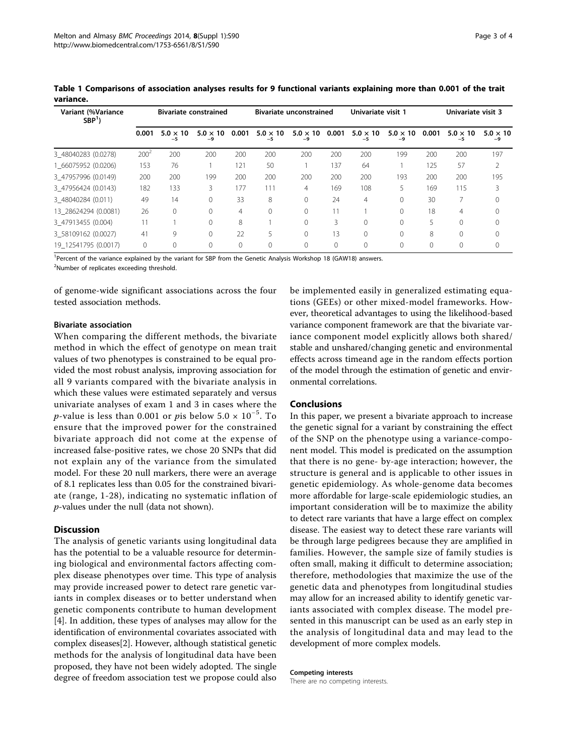| <b>Variant (%Variance)</b><br>SBP <sup>1</sup> | <b>Bivariate constrained</b> |                         |                         |          | <b>Bivariate unconstrained</b> |                         |       | Univariate visit 1      |                         |       | Univariate visit 3      |                       |
|------------------------------------------------|------------------------------|-------------------------|-------------------------|----------|--------------------------------|-------------------------|-------|-------------------------|-------------------------|-------|-------------------------|-----------------------|
|                                                | 0.001                        | $5.0 \times 10$<br>$-5$ | $5.0 \times 10$<br>$-9$ | 0.001    | $5.0 \times 10$<br>$-5$        | $5.0 \times 10$<br>$-9$ | 0.001 | $5.0 \times 10$<br>$-5$ | $5.0 \times 10$<br>$-9$ | 0.001 | $5.0 \times 10$<br>$-5$ | $5.0 \times 10$<br>-9 |
| 3 48040283 (0.0278)                            | $200^2$                      | 200                     | 200                     | 200      | 200                            | 200                     | 200   | 200                     | 199                     | 200   | 200                     | 197                   |
| 1 66075952 (0.0206)                            | 153                          | 76                      |                         | 121      | 50                             |                         | 137   | 64                      |                         | 125   | 57                      |                       |
| 3 47957996 (0.0149)                            | 200                          | 200                     | 199                     | 200      | 200                            | 200                     | 200   | 200                     | 193                     | 200   | 200                     | 195                   |
| 3 47956424 (0.0143)                            | 182                          | 133                     | 3                       | 177      | 111                            | 4                       | 169   | 108                     | 5                       | 169   | 115                     |                       |
| 3 48040284 (0.011)                             | 49                           | 14                      | $\Omega$                | 33       | 8                              | $\Omega$                | 24    | 4                       | 0                       | 30    | 7                       |                       |
| 13 28624294 (0.0081)                           | 26                           |                         | $\Omega$                | 4        | $\Omega$                       | $\Omega$                | 11    |                         | $\Omega$                | 18    | 4                       |                       |
| 3 47913455 (0.004)                             | 11                           |                         | $\Omega$                | 8        |                                | $\Omega$                | 3     |                         | $\Omega$                | 5     | $\Omega$                |                       |
| 3 58109162 (0.0027)                            | 41                           | 9                       | $\Omega$                | 22       | 5                              | $\Omega$                | 13    |                         | $\Omega$                | 8     | $\Omega$                |                       |
| 19 12541795 (0.0017)                           | 0                            |                         | $\Omega$                | $\Omega$ |                                |                         | 0     |                         |                         | 0     |                         |                       |

<span id="page-2-0"></span>Table 1 Comparisons of association analyses results for 9 functional variants explaining more than 0.001 of the trait variance.

<sup>1</sup>Percent of the variance explained by the variant for SBP from the Genetic Analysis Workshop 18 (GAW18) answers.

<sup>2</sup>Number of replicates exceeding threshold.

of genome-wide significant associations across the four tested association methods.

#### Bivariate association

When comparing the different methods, the bivariate method in which the effect of genotype on mean trait values of two phenotypes is constrained to be equal provided the most robust analysis, improving association for all 9 variants compared with the bivariate analysis in which these values were estimated separately and versus univariate analyses of exam 1 and 3 in cases where the p-value is less than 0.001 or pis below  $5.0 \times 10^{-5}$ . To presure that the improved power for the constrained ensure that the improved power for the constrained bivariate approach did not come at the expense of increased false-positive rates, we chose 20 SNPs that did not explain any of the variance from the simulated model. For these 20 null markers, there were an average of 8.1 replicates less than 0.05 for the constrained bivariate (range, 1-28), indicating no systematic inflation of p-values under the null (data not shown).

#### **Discussion**

The analysis of genetic variants using longitudinal data has the potential to be a valuable resource for determining biological and environmental factors affecting complex disease phenotypes over time. This type of analysis may provide increased power to detect rare genetic variants in complex diseases or to better understand when genetic components contribute to human development [[4\]](#page-3-0). In addition, these types of analyses may allow for the identification of environmental covariates associated with complex diseases[\[2\]](#page-3-0). However, although statistical genetic methods for the analysis of longitudinal data have been proposed, they have not been widely adopted. The single degree of freedom association test we propose could also be implemented easily in generalized estimating equations (GEEs) or other mixed-model frameworks. However, theoretical advantages to using the likelihood-based variance component framework are that the bivariate variance component model explicitly allows both shared/ stable and unshared/changing genetic and environmental effects across timeand age in the random effects portion of the model through the estimation of genetic and environmental correlations.

#### Conclusions

In this paper, we present a bivariate approach to increase the genetic signal for a variant by constraining the effect of the SNP on the phenotype using a variance-component model. This model is predicated on the assumption that there is no gene- by-age interaction; however, the structure is general and is applicable to other issues in genetic epidemiology. As whole-genome data becomes more affordable for large-scale epidemiologic studies, an important consideration will be to maximize the ability to detect rare variants that have a large effect on complex disease. The easiest way to detect these rare variants will be through large pedigrees because they are amplified in families. However, the sample size of family studies is often small, making it difficult to determine association; therefore, methodologies that maximize the use of the genetic data and phenotypes from longitudinal studies may allow for an increased ability to identify genetic variants associated with complex disease. The model presented in this manuscript can be used as an early step in the analysis of longitudinal data and may lead to the development of more complex models.

#### Competing interests

There are no competing interests.